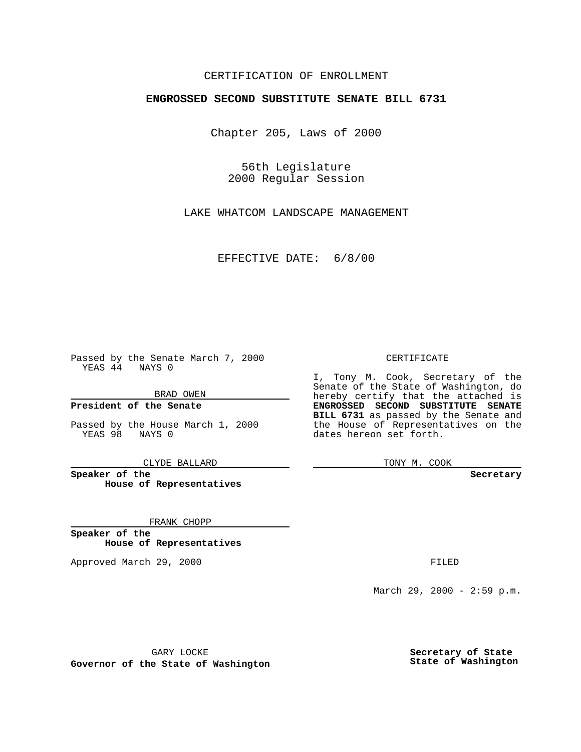### CERTIFICATION OF ENROLLMENT

# **ENGROSSED SECOND SUBSTITUTE SENATE BILL 6731**

Chapter 205, Laws of 2000

56th Legislature 2000 Regular Session

LAKE WHATCOM LANDSCAPE MANAGEMENT

EFFECTIVE DATE: 6/8/00

Passed by the Senate March 7, 2000 YEAS 44 NAYS 0

BRAD OWEN

**President of the Senate**

Passed by the House March 1, 2000 YEAS 98 NAYS 0

CLYDE BALLARD

**Speaker of the House of Representatives**

FRANK CHOPP

**Speaker of the House of Representatives**

Approved March 29, 2000 FILED

#### CERTIFICATE

I, Tony M. Cook, Secretary of the Senate of the State of Washington, do hereby certify that the attached is **ENGROSSED SECOND SUBSTITUTE SENATE BILL 6731** as passed by the Senate and the House of Representatives on the dates hereon set forth.

TONY M. COOK

**Secretary**

March 29, 2000 - 2:59 p.m.

GARY LOCKE

**Governor of the State of Washington**

**Secretary of State State of Washington**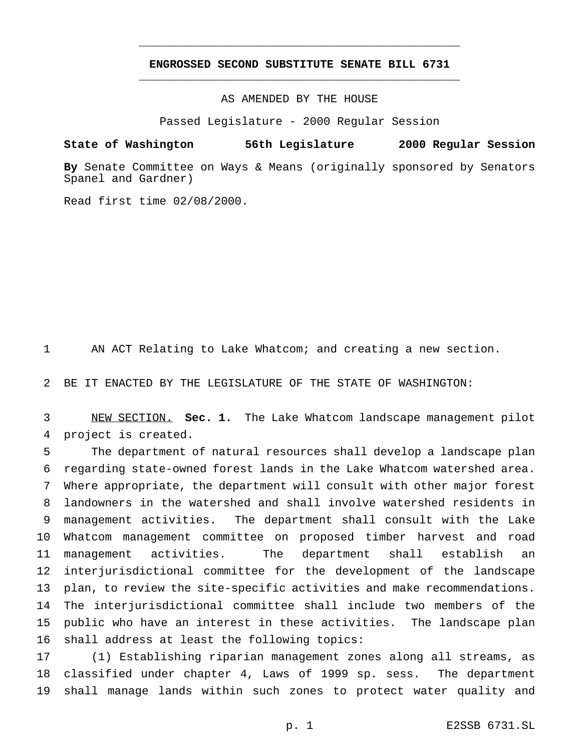## **ENGROSSED SECOND SUBSTITUTE SENATE BILL 6731** \_\_\_\_\_\_\_\_\_\_\_\_\_\_\_\_\_\_\_\_\_\_\_\_\_\_\_\_\_\_\_\_\_\_\_\_\_\_\_\_\_\_\_\_\_\_\_

\_\_\_\_\_\_\_\_\_\_\_\_\_\_\_\_\_\_\_\_\_\_\_\_\_\_\_\_\_\_\_\_\_\_\_\_\_\_\_\_\_\_\_\_\_\_\_

### AS AMENDED BY THE HOUSE

Passed Legislature - 2000 Regular Session

#### **State of Washington 56th Legislature 2000 Regular Session**

**By** Senate Committee on Ways & Means (originally sponsored by Senators Spanel and Gardner)

Read first time 02/08/2000.

AN ACT Relating to Lake Whatcom; and creating a new section.

BE IT ENACTED BY THE LEGISLATURE OF THE STATE OF WASHINGTON:

 NEW SECTION. **Sec. 1.** The Lake Whatcom landscape management pilot project is created.

 The department of natural resources shall develop a landscape plan regarding state-owned forest lands in the Lake Whatcom watershed area. Where appropriate, the department will consult with other major forest landowners in the watershed and shall involve watershed residents in management activities. The department shall consult with the Lake Whatcom management committee on proposed timber harvest and road management activities. The department shall establish an interjurisdictional committee for the development of the landscape plan, to review the site-specific activities and make recommendations. The interjurisdictional committee shall include two members of the public who have an interest in these activities. The landscape plan shall address at least the following topics:

 (1) Establishing riparian management zones along all streams, as classified under chapter 4, Laws of 1999 sp. sess. The department shall manage lands within such zones to protect water quality and